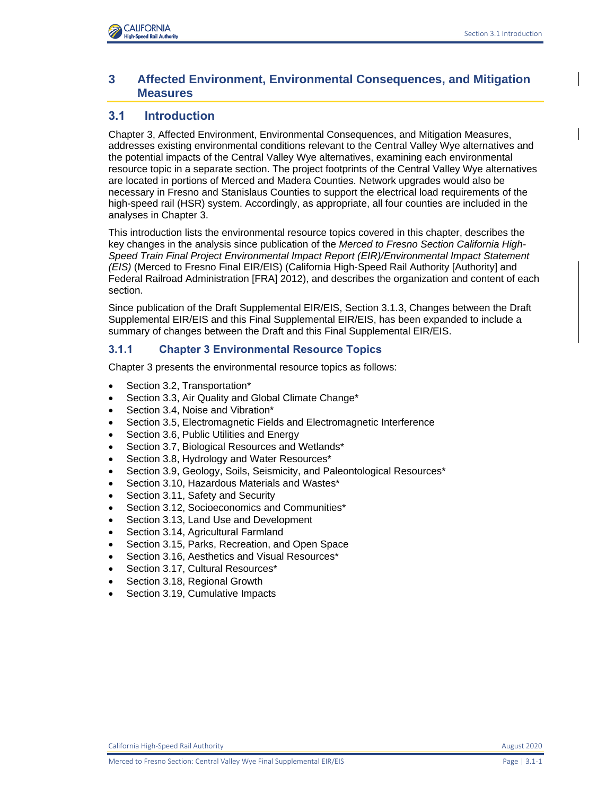# **3 Affected Environment, Environmental Consequences, and Mitigation Measures**

# **3.1 Introduction**

Chapter 3, Affected Environment, Environmental Consequences, and Mitigation Measures, addresses existing environmental conditions relevant to the Central Valley Wye alternatives and the potential impacts of the Central Valley Wye alternatives, examining each environmental resource topic in a separate section. The project footprints of the Central Valley Wye alternatives are located in portions of Merced and Madera Counties. Network upgrades would also be necessary in Fresno and Stanislaus Counties to support the electrical load requirements of the high-speed rail (HSR) system. Accordingly, as appropriate, all four counties are included in the analyses in Chapter 3.

This introduction lists the environmental resource topics covered in this chapter, describes the key changes in the analysis since publication of the *Merced to Fresno Section California High-Speed Train Final Project Environmental Impact Report (EIR)/Environmental Impact Statement (EIS)* (Merced to Fresno Final EIR/EIS) (California High-Speed Rail Authority [Authority] and Federal Railroad Administration [FRA] 2012), and describes the organization and content of each section.

Since publication of the Draft Supplemental EIR/EIS, Section 3.1.3, Changes between the Draft Supplemental EIR/EIS and this Final Supplemental EIR/EIS, has been expanded to include a summary of changes between the Draft and this Final Supplemental EIR/EIS.

# **3.1.1 Chapter 3 Environmental Resource Topics**

Chapter 3 presents the environmental resource topics as follows:

- Section 3.2, Transportation\*
- Section 3.3, Air Quality and Global Climate Change\*
- Section 3.4, Noise and Vibration\*
- Section 3.5, Electromagnetic Fields and Electromagnetic Interference
- Section 3.6, Public Utilities and Energy
- Section 3.7, Biological Resources and Wetlands\*
- Section 3.8, Hydrology and Water Resources\*
- Section 3.9, Geology, Soils, Seismicity, and Paleontological Resources\*
- Section 3.10, Hazardous Materials and Wastes\*
- Section 3.11, Safety and Security
- Section 3.12, Socioeconomics and Communities\*
- Section 3.13, Land Use and Development
- Section 3.14, Agricultural Farmland
- Section 3.15, Parks, Recreation, and Open Space
- Section 3.16, Aesthetics and Visual Resources\*
- Section 3.17, Cultural Resources\*
- Section 3.18, Regional Growth
- Section 3.19, Cumulative Impacts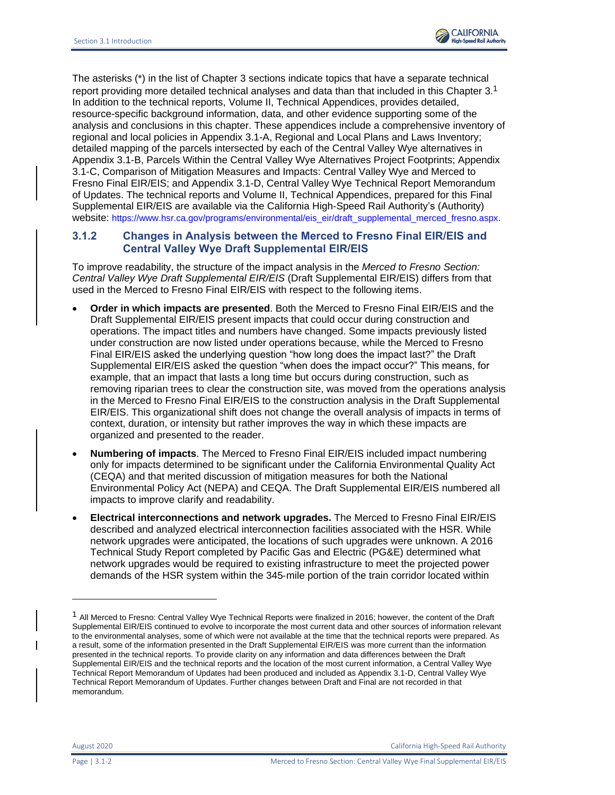

The asterisks (\*) in the list of Chapter 3 sections indicate topics that have a separate technical report providing more detailed technical analyses and data than that included in this Chapter  $3.1$ In addition to the technical reports, Volume II, Technical Appendices, provides detailed, resource-specific background information, data, and other evidence supporting some of the analysis and conclusions in this chapter. These appendices include a comprehensive inventory of regional and local policies in Appendix 3.1-A, Regional and Local Plans and Laws Inventory; detailed mapping of the parcels intersected by each of the Central Valley Wye alternatives in Appendix 3.1-B, Parcels Within the Central Valley Wye Alternatives Project Footprints; Appendix 3.1-C, Comparison of Mitigation Measures and Impacts: Central Valley Wye and Merced to Fresno Final EIR/EIS; and Appendix 3.1-D, Central Valley Wye Technical Report Memorandum of Updates. The technical reports and Volume II, Technical Appendices, prepared for this Final Supplemental EIR/EIS are available via the California High-Speed Rail Authority's (Authority) website: [https://www.hsr.ca.gov/programs/environmental/eis\\_eir/draft\\_supplemental\\_merced\\_fresno.aspx](https://www.hsr.ca.gov/programs/environmental/eis_eir/draft_supplemental_merced_fresno.aspx.)[.](https://www.hsr.ca.gov/programs/environmental/eis_eir/draft_supplemental_merced_fresno.aspx.)

# **3.1.2 Changes in Analysis between the Merced to Fresno Final EIR/EIS and Central Valley Wye Draft Supplemental EIR/EIS**

To improve readability, the structure of the impact analysis in the *Merced to Fresno Section: Central Valley Wye Draft Supplemental EIR/EIS* (Draft Supplemental EIR/EIS) differs from that used in the Merced to Fresno Final EIR/EIS with respect to the following items.

- **Order in which impacts are presented**. Both the Merced to Fresno Final EIR/EIS and the Draft Supplemental EIR/EIS present impacts that could occur during construction and operations. The impact titles and numbers have changed. Some impacts previously listed under construction are now listed under operations because, while the Merced to Fresno Final EIR/EIS asked the underlying question "how long does the impact last?" the Draft Supplemental EIR/EIS asked the question "when does the impact occur?" This means, for example, that an impact that lasts a long time but occurs during construction, such as removing riparian trees to clear the construction site, was moved from the operations analysis in the Merced to Fresno Final EIR/EIS to the construction analysis in the Draft Supplemental EIR/EIS. This organizational shift does not change the overall analysis of impacts in terms of context, duration, or intensity but rather improves the way in which these impacts are organized and presented to the reader.
- **Numbering of impacts**. The Merced to Fresno Final EIR/EIS included impact numbering only for impacts determined to be significant under the California Environmental Quality Act (CEQA) and that merited discussion of mitigation measures for both the National Environmental Policy Act (NEPA) and CEQA. The Draft Supplemental EIR/EIS numbered all impacts to improve clarify and readability.
- **Electrical interconnections and network upgrades.** The Merced to Fresno Final EIR/EIS described and analyzed electrical interconnection facilities associated with the HSR. While network upgrades were anticipated, the locations of such upgrades were unknown. A 2016 Technical Study Report completed by Pacific Gas and Electric (PG&E) determined what network upgrades would be required to existing infrastructure to meet the projected power demands of the HSR system within the 345‐mile portion of the train corridor located within

August 2020 California High-Speed Rail Authority

<sup>&</sup>lt;sup>1</sup> All Merced to Fresno: Central Valley Wye Technical Reports were finalized in 2016; however, the content of the Draft Supplemental EIR/EIS continued to evolve to incorporate the most current data and other sources of information relevant to the environmental analyses, some of which were not available at the time that the technical reports were prepared. As a result, some of the information presented in the Draft Supplemental EIR/EIS was more current than the information presented in the technical reports. To provide clarity on any information and data differences between the Draft Supplemental EIR/EIS and the technical reports and the location of the most current information, a Central Valley Wye Technical Report Memorandum of Updates had been produced and included as Appendix 3.1-D, Central Valley Wye Technical Report Memorandum of Updates. Further changes between Draft and Final are not recorded in that memorandum.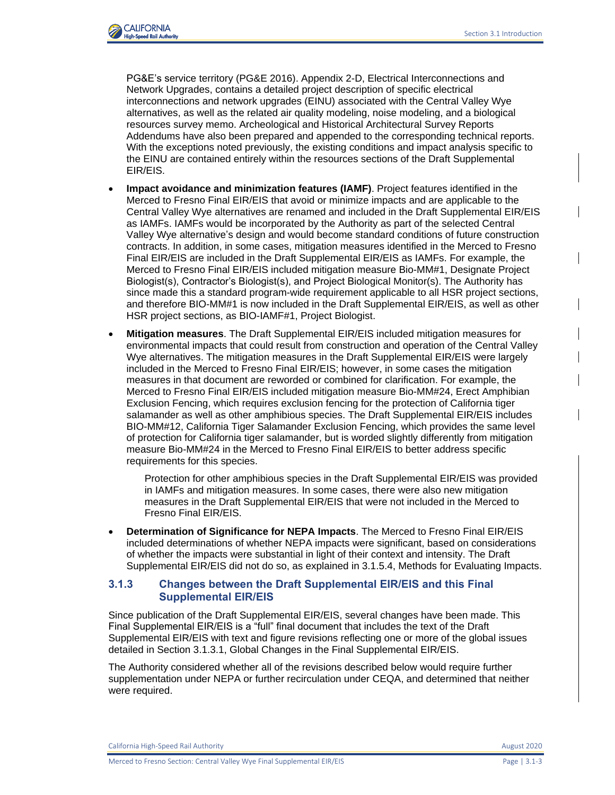

PG&E's service territory (PG&E 2016). Appendix 2-D, Electrical Interconnections and Network Upgrades, contains a detailed project description of specific electrical interconnections and network upgrades (EINU) associated with the Central Valley Wye alternatives, as well as the related air quality modeling, noise modeling, and a biological resources survey memo. Archeological and Historical Architectural Survey Reports Addendums have also been prepared and appended to the corresponding technical reports. With the exceptions noted previously, the existing conditions and impact analysis specific to the EINU are contained entirely within the resources sections of the Draft Supplemental EIR/EIS.

- **Impact avoidance and minimization features (IAMF)**. Project features identified in the Merced to Fresno Final EIR/EIS that avoid or minimize impacts and are applicable to the Central Valley Wye alternatives are renamed and included in the Draft Supplemental EIR/EIS as IAMFs. IAMFs would be incorporated by the Authority as part of the selected Central Valley Wye alternative's design and would become standard conditions of future construction contracts. In addition, in some cases, mitigation measures identified in the Merced to Fresno Final EIR/EIS are included in the Draft Supplemental EIR/EIS as IAMFs. For example, the Merced to Fresno Final EIR/EIS included mitigation measure Bio-MM#1, Designate Project Biologist(s), Contractor's Biologist(s), and Project Biological Monitor(s). The Authority has since made this a standard program-wide requirement applicable to all HSR project sections, and therefore BIO-MM#1 is now included in the Draft Supplemental EIR/EIS, as well as other HSR project sections, as BIO-IAMF#1, Project Biologist.
- **Mitigation measures**. The Draft Supplemental EIR/EIS included mitigation measures for environmental impacts that could result from construction and operation of the Central Valley Wye alternatives. The mitigation measures in the Draft Supplemental EIR/EIS were largely included in the Merced to Fresno Final EIR/EIS; however, in some cases the mitigation measures in that document are reworded or combined for clarification. For example, the Merced to Fresno Final EIR/EIS included mitigation measure Bio-MM#24, Erect Amphibian Exclusion Fencing, which requires exclusion fencing for the protection of California tiger salamander as well as other amphibious species. The Draft Supplemental EIR/EIS includes BIO-MM#12, California Tiger Salamander Exclusion Fencing, which provides the same level of protection for California tiger salamander, but is worded slightly differently from mitigation measure Bio-MM#24 in the Merced to Fresno Final EIR/EIS to better address specific requirements for this species.

Protection for other amphibious species in the Draft Supplemental EIR/EIS was provided in IAMFs and mitigation measures. In some cases, there were also new mitigation measures in the Draft Supplemental EIR/EIS that were not included in the Merced to Fresno Final EIR/EIS.

• **Determination of Significance for NEPA Impacts**. The Merced to Fresno Final EIR/EIS included determinations of whether NEPA impacts were significant, based on considerations of whether the impacts were substantial in light of their context and intensity. The Draft Supplemental EIR/EIS did not do so, as explained in 3.1.5.4, Methods for Evaluating Impacts.

# **3.1.3 Changes between the Draft Supplemental EIR/EIS and this Final Supplemental EIR/EIS**

Since publication of the Draft Supplemental EIR/EIS, several changes have been made. This Final Supplemental EIR/EIS is a "full" final document that includes the text of the Draft Supplemental EIR/EIS with text and figure revisions reflecting one or more of the global issues detailed in Section 3.1.3.1, Global Changes in the Final Supplemental EIR/EIS.

The Authority considered whether all of the revisions described below would require further supplementation under NEPA or further recirculation under CEQA, and determined that neither were required.

California High-Speed Rail Authority **August 2020** 2020

Merced to Fresno Section: Central Valley Wye Final Supplemental EIR/EIS Page | 3.1-3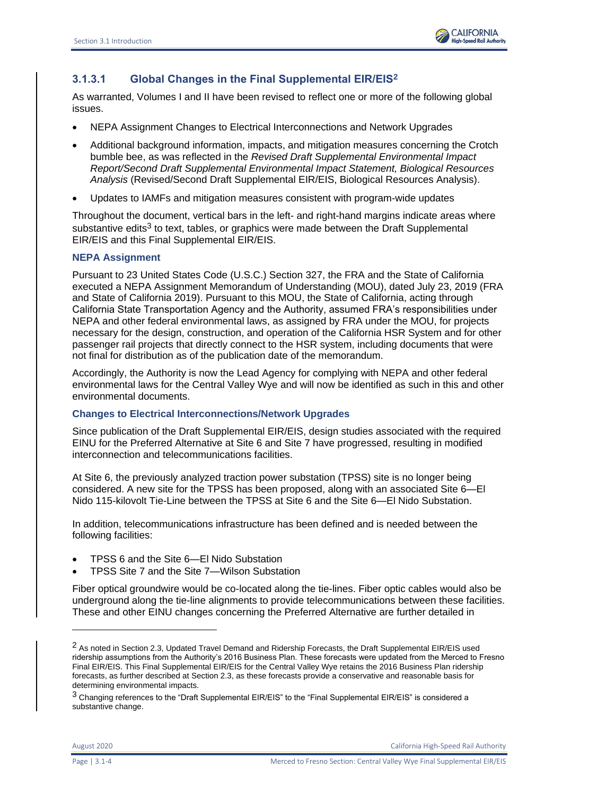

# **3.1.3.1 Global Changes in the Final Supplemental EIR/EIS<sup>2</sup>**

As warranted, Volumes I and II have been revised to reflect one or more of the following global issues.

- NEPA Assignment Changes to Electrical Interconnections and Network Upgrades
- Additional background information, impacts, and mitigation measures concerning the Crotch bumble bee, as was reflected in the *Revised Draft Supplemental Environmental Impact Report/Second Draft Supplemental Environmental Impact Statement, Biological Resources Analysis* (Revised/Second Draft Supplemental EIR/EIS, Biological Resources Analysis).
- Updates to IAMFs and mitigation measures consistent with program-wide updates

Throughout the document, vertical bars in the left- and right-hand margins indicate areas where substantive edits<sup>3</sup> to text, tables, or graphics were made between the Draft Supplemental EIR/EIS and this Final Supplemental EIR/EIS.

# **NEPA Assignment**

Pursuant to 23 United States Code (U.S.C.) Section 327, the FRA and the State of California executed a NEPA Assignment Memorandum of Understanding (MOU), dated July 23, 2019 (FRA and State of California 2019). Pursuant to this MOU, the State of California, acting through California State Transportation Agency and the Authority, assumed FRA's responsibilities under NEPA and other federal environmental laws, as assigned by FRA under the MOU, for projects necessary for the design, construction, and operation of the California HSR System and for other passenger rail projects that directly connect to the HSR system, including documents that were not final for distribution as of the publication date of the memorandum.

Accordingly, the Authority is now the Lead Agency for complying with NEPA and other federal environmental laws for the Central Valley Wye and will now be identified as such in this and other environmental documents.

#### **Changes to Electrical Interconnections/Network Upgrades**

Since publication of the Draft Supplemental EIR/EIS, design studies associated with the required EINU for the Preferred Alternative at Site 6 and Site 7 have progressed, resulting in modified interconnection and telecommunications facilities.

At Site 6, the previously analyzed traction power substation (TPSS) site is no longer being considered. A new site for the TPSS has been proposed, along with an associated Site 6—El Nido 115-kilovolt Tie-Line between the TPSS at Site 6 and the Site 6—El Nido Substation.

In addition, telecommunications infrastructure has been defined and is needed between the following facilities:

- TPSS 6 and the Site 6—El Nido Substation
- TPSS Site 7 and the Site 7—Wilson Substation

Fiber optical groundwire would be co-located along the tie-lines. Fiber optic cables would also be underground along the tie-line alignments to provide telecommunications between these facilities. These and other EINU changes concerning the Preferred Alternative are further detailed in

August 2020 California High-Speed Rail Authority

<sup>&</sup>lt;sup>2</sup> As noted in Section 2.3, Updated Travel Demand and Ridership Forecasts, the Draft Supplemental EIR/EIS used ridership assumptions from the Authority's 2016 Business Plan. These forecasts were updated from the Merced to Fresno Final EIR/EIS. This Final Supplemental EIR/EIS for the Central Valley Wye retains the 2016 Business Plan ridership forecasts, as further described at Section 2.3, as these forecasts provide a conservative and reasonable basis for determining environmental impacts.

<sup>&</sup>lt;sup>3</sup> Changing references to the "Draft Supplemental EIR/EIS" to the "Final Supplemental EIR/EIS" is considered a substantive change.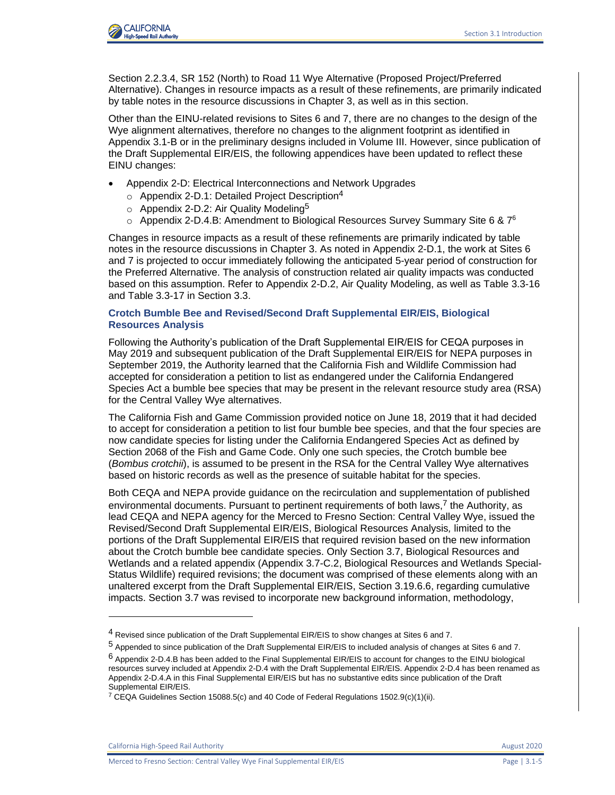

Section 2.2.3.4, SR 152 (North) to Road 11 Wye Alternative (Proposed Project/Preferred Alternative). Changes in resource impacts as a result of these refinements, are primarily indicated by table notes in the resource discussions in Chapter 3, as well as in this section.

Other than the EINU-related revisions to Sites 6 and 7, there are no changes to the design of the Wye alignment alternatives, therefore no changes to the alignment footprint as identified in Appendix 3.1-B or in the preliminary designs included in Volume III. However, since publication of the Draft Supplemental EIR/EIS, the following appendices have been updated to reflect these EINU changes:

- Appendix 2-D: Electrical Interconnections and Network Upgrades
	- $\circ$  Appendix 2-D.1: Detailed Project Description<sup>4</sup>
	- $\circ$  Appendix 2-D.2: Air Quality Modeling<sup>5</sup>
	- $\circ$  Appendix 2-D.4.B: Amendment to Biological Resources Survey Summary Site 6 & 7<sup>6</sup>

Changes in resource impacts as a result of these refinements are primarily indicated by table notes in the resource discussions in Chapter 3. As noted in Appendix 2-D.1, the work at Sites 6 and 7 is projected to occur immediately following the anticipated 5-year period of construction for the Preferred Alternative. The analysis of construction related air quality impacts was conducted based on this assumption. Refer to Appendix 2-D.2, Air Quality Modeling, as well as Table 3.3-16 and Table 3.3-17 in Section 3.3.

#### **Crotch Bumble Bee and Revised/Second Draft Supplemental EIR/EIS, Biological Resources Analysis**

Following the Authority's publication of the Draft Supplemental EIR/EIS for CEQA purposes in May 2019 and subsequent publication of the Draft Supplemental EIR/EIS for NEPA purposes in September 2019, the Authority learned that the California Fish and Wildlife Commission had accepted for consideration a petition to list as endangered under the California Endangered Species Act a bumble bee species that may be present in the relevant resource study area (RSA) for the Central Valley Wye alternatives.

The California Fish and Game Commission provided notice on June 18, 2019 that it had decided to accept for consideration a petition to list four bumble bee species, and that the four species are now candidate species for listing under the California Endangered Species Act as defined by Section 2068 of the Fish and Game Code. Only one such species, the Crotch bumble bee (*Bombus crotchii*), is assumed to be present in the RSA for the Central Valley Wye alternatives based on historic records as well as the presence of suitable habitat for the species.

Both CEQA and NEPA provide guidance on the recirculation and supplementation of published environmental documents. Pursuant to pertinent requirements of both laws, $<sup>7</sup>$  the Authority, as</sup> lead CEQA and NEPA agency for the Merced to Fresno Section: Central Valley Wye, issued the Revised/Second Draft Supplemental EIR/EIS, Biological Resources Analysis*,* limited to the portions of the Draft Supplemental EIR/EIS that required revision based on the new information about the Crotch bumble bee candidate species. Only Section 3.7, Biological Resources and Wetlands and a related appendix (Appendix 3.7-C.2, Biological Resources and Wetlands Special-Status Wildlife) required revisions; the document was comprised of these elements along with an unaltered excerpt from the Draft Supplemental EIR/EIS, Section 3.19.6.6, regarding cumulative impacts. Section 3.7 was revised to incorporate new background information, methodology,

California High-Speed Rail Authority **August 2020** 2020

<sup>4</sup> Revised since publication of the Draft Supplemental EIR/EIS to show changes at Sites 6 and 7.

<sup>5</sup> Appended to since publication of the Draft Supplemental EIR/EIS to included analysis of changes at Sites 6 and 7.

<sup>6</sup> Appendix 2-D.4.B has been added to the Final Supplemental EIR/EIS to account for changes to the EINU biological resources survey included at Appendix 2-D.4 with the Draft Supplemental EIR/EIS. Appendix 2-D.4 has been renamed as Appendix 2-D.4.A in this Final Supplemental EIR/EIS but has no substantive edits since publication of the Draft Supplemental EIR/EIS.

<sup>&</sup>lt;sup>7</sup> CEQA Guidelines Section 15088.5(c) and 40 Code of Federal Regulations 1502.9(c)(1)(ii).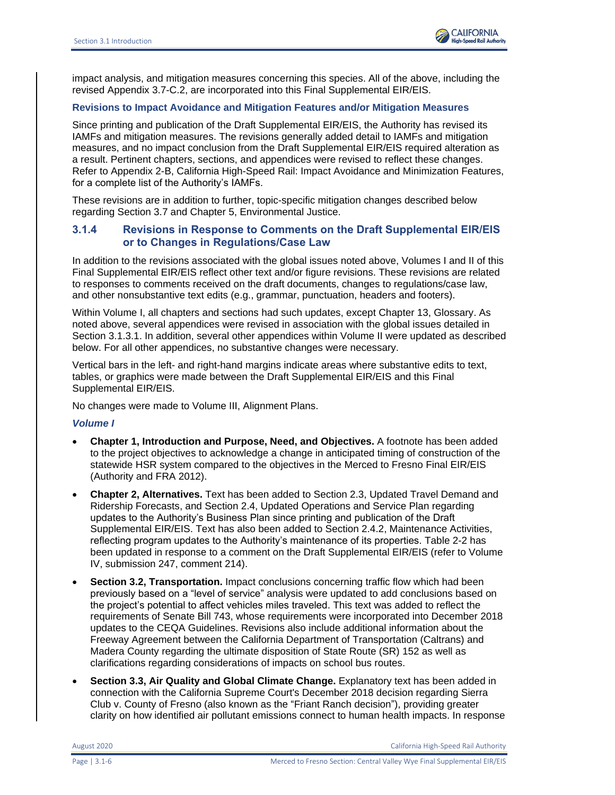

impact analysis, and mitigation measures concerning this species. All of the above, including the revised Appendix 3.7-C.2, are incorporated into this Final Supplemental EIR/EIS.

#### **Revisions to Impact Avoidance and Mitigation Features and/or Mitigation Measures**

Since printing and publication of the Draft Supplemental EIR/EIS, the Authority has revised its IAMFs and mitigation measures. The revisions generally added detail to IAMFs and mitigation measures, and no impact conclusion from the Draft Supplemental EIR/EIS required alteration as a result. Pertinent chapters, sections, and appendices were revised to reflect these changes. Refer to Appendix 2-B, California High-Speed Rail: Impact Avoidance and Minimization Features, for a complete list of the Authority's IAMFs.

These revisions are in addition to further, topic-specific mitigation changes described below regarding Section 3.7 and Chapter 5, Environmental Justice.

# **3.1.4 Revisions in Response to Comments on the Draft Supplemental EIR/EIS or to Changes in Regulations/Case Law**

In addition to the revisions associated with the global issues noted above, Volumes I and II of this Final Supplemental EIR/EIS reflect other text and/or figure revisions. These revisions are related to responses to comments received on the draft documents, changes to regulations/case law, and other nonsubstantive text edits (e.g., grammar, punctuation, headers and footers).

Within Volume I, all chapters and sections had such updates, except Chapter 13, Glossary. As noted above, several appendices were revised in association with the global issues detailed in Section 3.1.3.1. In addition, several other appendices within Volume II were updated as described below. For all other appendices, no substantive changes were necessary.

Vertical bars in the left- and right-hand margins indicate areas where substantive edits to text, tables, or graphics were made between the Draft Supplemental EIR/EIS and this Final Supplemental EIR/EIS.

No changes were made to Volume III, Alignment Plans.

#### *Volume I*

- **Chapter 1, Introduction and Purpose, Need, and Objectives.** A footnote has been added to the project objectives to acknowledge a change in anticipated timing of construction of the statewide HSR system compared to the objectives in the Merced to Fresno Final EIR/EIS (Authority and FRA 2012).
- **Chapter 2, Alternatives.** Text has been added to Section 2.3, Updated Travel Demand and Ridership Forecasts, and Section 2.4, Updated Operations and Service Plan regarding updates to the Authority's Business Plan since printing and publication of the Draft Supplemental EIR/EIS. Text has also been added to Section 2.4.2, Maintenance Activities, reflecting program updates to the Authority's maintenance of its properties. Table 2-2 has been updated in response to a comment on the Draft Supplemental EIR/EIS (refer to Volume IV, submission 247, comment 214).
- **Section 3.2, Transportation.** Impact conclusions concerning traffic flow which had been previously based on a "level of service" analysis were updated to add conclusions based on the project's potential to affect vehicles miles traveled. This text was added to reflect the requirements of Senate Bill 743, whose requirements were incorporated into December 2018 updates to the CEQA Guidelines. Revisions also include additional information about the Freeway Agreement between the California Department of Transportation (Caltrans) and Madera County regarding the ultimate disposition of State Route (SR) 152 as well as clarifications regarding considerations of impacts on school bus routes.
- **Section 3.3, Air Quality and Global Climate Change.** Explanatory text has been added in connection with the California Supreme Court's December 2018 decision regarding Sierra Club v. County of Fresno (also known as the "Friant Ranch decision"), providing greater clarity on how identified air pollutant emissions connect to human health impacts. In response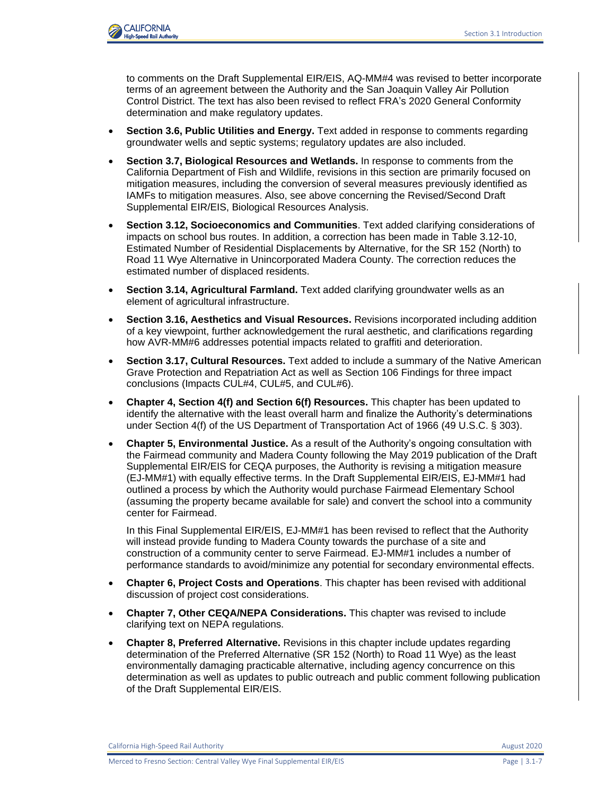

to comments on the Draft Supplemental EIR/EIS, AQ-MM#4 was revised to better incorporate terms of an agreement between the Authority and the San Joaquin Valley Air Pollution Control District. The text has also been revised to reflect FRA's 2020 General Conformity determination and make regulatory updates.

- **Section 3.6, Public Utilities and Energy.** Text added in response to comments regarding groundwater wells and septic systems; regulatory updates are also included.
- **Section 3.7, Biological Resources and Wetlands.** In response to comments from the California Department of Fish and Wildlife, revisions in this section are primarily focused on mitigation measures, including the conversion of several measures previously identified as IAMFs to mitigation measures. Also, see above concerning the Revised/Second Draft Supplemental EIR/EIS, Biological Resources Analysis.
- **Section 3.12, Socioeconomics and Communities**. Text added clarifying considerations of impacts on school bus routes. In addition, a correction has been made in Table 3.12-10, Estimated Number of Residential Displacements by Alternative, for the SR 152 (North) to Road 11 Wye Alternative in Unincorporated Madera County. The correction reduces the estimated number of displaced residents.
- **Section 3.14, Agricultural Farmland.** Text added clarifying groundwater wells as an element of agricultural infrastructure.
- **Section 3.16, Aesthetics and Visual Resources.** Revisions incorporated including addition of a key viewpoint, further acknowledgement the rural aesthetic, and clarifications regarding how AVR-MM#6 addresses potential impacts related to graffiti and deterioration.
- **Section 3.17, Cultural Resources.** Text added to include a summary of the Native American Grave Protection and Repatriation Act as well as Section 106 Findings for three impact conclusions (Impacts CUL#4, CUL#5, and CUL#6).
- **Chapter 4, Section 4(f) and Section 6(f) Resources.** This chapter has been updated to identify the alternative with the least overall harm and finalize the Authority's determinations under Section 4(f) of the US Department of Transportation Act of 1966 (49 U.S.C. § 303).
- **Chapter 5, Environmental Justice.** As a result of the Authority's ongoing consultation with the Fairmead community and Madera County following the May 2019 publication of the Draft Supplemental EIR/EIS for CEQA purposes, the Authority is revising a mitigation measure (EJ-MM#1) with equally effective terms. In the Draft Supplemental EIR/EIS, EJ-MM#1 had outlined a process by which the Authority would purchase Fairmead Elementary School (assuming the property became available for sale) and convert the school into a community center for Fairmead.

In this Final Supplemental EIR/EIS, EJ-MM#1 has been revised to reflect that the Authority will instead provide funding to Madera County towards the purchase of a site and construction of a community center to serve Fairmead. EJ-MM#1 includes a number of performance standards to avoid/minimize any potential for secondary environmental effects.

- **Chapter 6, Project Costs and Operations**. This chapter has been revised with additional discussion of project cost considerations.
- **Chapter 7, Other CEQA/NEPA Considerations.** This chapter was revised to include clarifying text on NEPA regulations.
- **Chapter 8, Preferred Alternative.** Revisions in this chapter include updates regarding determination of the Preferred Alternative (SR 152 (North) to Road 11 Wye) as the least environmentally damaging practicable alternative, including agency concurrence on this determination as well as updates to public outreach and public comment following publication of the Draft Supplemental EIR/EIS.

California High-Speed Rail Authority **August 2020** 2020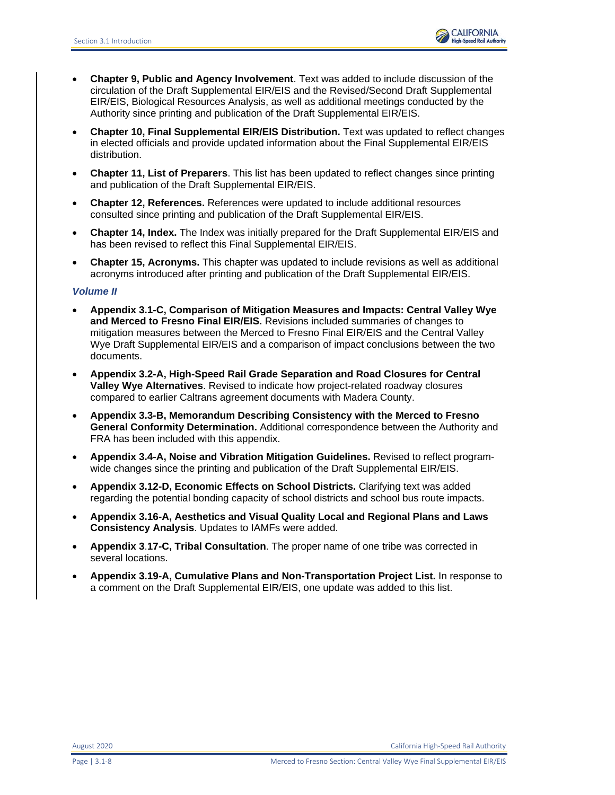

- **Chapter 9, Public and Agency Involvement**. Text was added to include discussion of the circulation of the Draft Supplemental EIR/EIS and the Revised/Second Draft Supplemental EIR/EIS, Biological Resources Analysis, as well as additional meetings conducted by the Authority since printing and publication of the Draft Supplemental EIR/EIS.
- **Chapter 10, Final Supplemental EIR/EIS Distribution.** Text was updated to reflect changes in elected officials and provide updated information about the Final Supplemental EIR/EIS distribution.
- **Chapter 11, List of Preparers**. This list has been updated to reflect changes since printing and publication of the Draft Supplemental EIR/EIS.
- **Chapter 12, References.** References were updated to include additional resources consulted since printing and publication of the Draft Supplemental EIR/EIS.
- **Chapter 14, Index.** The Index was initially prepared for the Draft Supplemental EIR/EIS and has been revised to reflect this Final Supplemental EIR/EIS.
- **Chapter 15, Acronyms.** This chapter was updated to include revisions as well as additional acronyms introduced after printing and publication of the Draft Supplemental EIR/EIS.

#### *Volume II*

- **Appendix 3.1-C, Comparison of Mitigation Measures and Impacts: Central Valley Wye and Merced to Fresno Final EIR/EIS.** Revisions included summaries of changes to mitigation measures between the Merced to Fresno Final EIR/EIS and the Central Valley Wye Draft Supplemental EIR/EIS and a comparison of impact conclusions between the two documents.
- **Appendix 3.2-A, High-Speed Rail Grade Separation and Road Closures for Central Valley Wye Alternatives**. Revised to indicate how project-related roadway closures compared to earlier Caltrans agreement documents with Madera County.
- **Appendix 3.3-B, Memorandum Describing Consistency with the Merced to Fresno General Conformity Determination.** Additional correspondence between the Authority and FRA has been included with this appendix.
- **Appendix 3.4-A, Noise and Vibration Mitigation Guidelines.** Revised to reflect programwide changes since the printing and publication of the Draft Supplemental EIR/EIS.
- **Appendix 3.12-D, Economic Effects on School Districts.** Clarifying text was added regarding the potential bonding capacity of school districts and school bus route impacts.
- **Appendix 3.16-A, Aesthetics and Visual Quality Local and Regional Plans and Laws Consistency Analysis**. Updates to IAMFs were added.
- **Appendix 3**.**17-C, Tribal Consultation**. The proper name of one tribe was corrected in several locations.
- **Appendix 3.19-A, Cumulative Plans and Non-Transportation Project List.** In response to a comment on the Draft Supplemental EIR/EIS, one update was added to this list.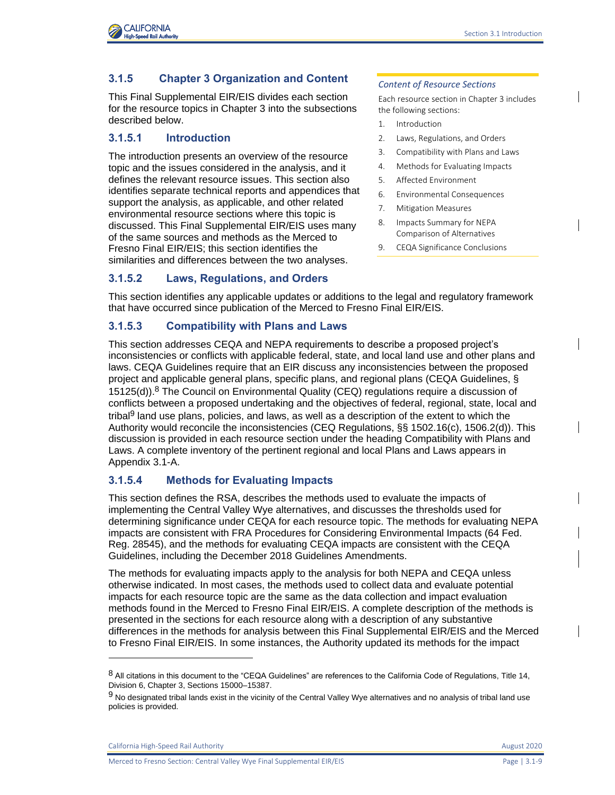

# **3.1.5 Chapter 3 Organization and Content**

This Final Supplemental EIR/EIS divides each section for the resource topics in Chapter 3 into the subsections described below.

# **3.1.5.1 Introduction**

The introduction presents an overview of the resource topic and the issues considered in the analysis, and it defines the relevant resource issues. This section also identifies separate technical reports and appendices that support the analysis, as applicable, and other related environmental resource sections where this topic is discussed. This Final Supplemental EIR/EIS uses many of the same sources and methods as the Merced to Fresno Final EIR/EIS; this section identifies the similarities and differences between the two analyses.

# **3.1.5.2 Laws, Regulations, and Orders**

#### *Content of Resource Sections*

Each resource section in Chapter 3 includes the following sections:

- 1. Introduction
- 2. Laws, Regulations, and Orders
- 3. Compatibility with Plans and Laws
- 4. Methods for Evaluating Impacts
- 5. Affected Environment
- 6. Environmental Consequences
- 7. Mitigation Measures
- 8. Impacts Summary for NEPA Comparison of Alternatives
- 9. CEQA Significance Conclusions

This section identifies any applicable updates or additions to the legal and regulatory framework that have occurred since publication of the Merced to Fresno Final EIR/EIS.

# **3.1.5.3 Compatibility with Plans and Laws**

This section addresses CEQA and NEPA requirements to describe a proposed project's inconsistencies or conflicts with applicable federal, state, and local land use and other plans and laws. CEQA Guidelines require that an EIR discuss any inconsistencies between the proposed project and applicable general plans, specific plans, and regional plans (CEQA Guidelines, § 15125(d)).8 The Council on Environmental Quality (CEQ) regulations require a discussion of conflicts between a proposed undertaking and the objectives of federal, regional, state, local and tribal<sup>9</sup> land use plans, policies, and laws, as well as a description of the extent to which the Authority would reconcile the inconsistencies (CEQ Regulations, §§ 1502.16(c), 1506.2(d)). This discussion is provided in each resource section under the heading Compatibility with Plans and Laws. A complete inventory of the pertinent regional and local Plans and Laws appears in Appendix 3.1-A.

# **3.1.5.4 Methods for Evaluating Impacts**

This section defines the RSA, describes the methods used to evaluate the impacts of implementing the Central Valley Wye alternatives, and discusses the thresholds used for determining significance under CEQA for each resource topic. The methods for evaluating NEPA impacts are consistent with FRA Procedures for Considering Environmental Impacts (64 Fed. Reg. 28545), and the methods for evaluating CEQA impacts are consistent with the CEQA Guidelines, including the December 2018 Guidelines Amendments.

The methods for evaluating impacts apply to the analysis for both NEPA and CEQA unless otherwise indicated. In most cases, the methods used to collect data and evaluate potential impacts for each resource topic are the same as the data collection and impact evaluation methods found in the Merced to Fresno Final EIR/EIS. A complete description of the methods is presented in the sections for each resource along with a description of any substantive differences in the methods for analysis between this Final Supplemental EIR/EIS and the Merced to Fresno Final EIR/EIS. In some instances, the Authority updated its methods for the impact

California High-Speed Rail Authority **August 2020 August 2020** 

Merced to Fresno Section: Central Valley Wye Final Supplemental EIR/EIS Page | 3.1-9

<sup>8</sup> All citations in this document to the "CEQA Guidelines" are references to the California Code of Regulations, Title 14, Division 6, Chapter 3, Sections 15000–15387.

<sup>9</sup> No designated tribal lands exist in the vicinity of the Central Valley Wye alternatives and no analysis of tribal land use policies is provided.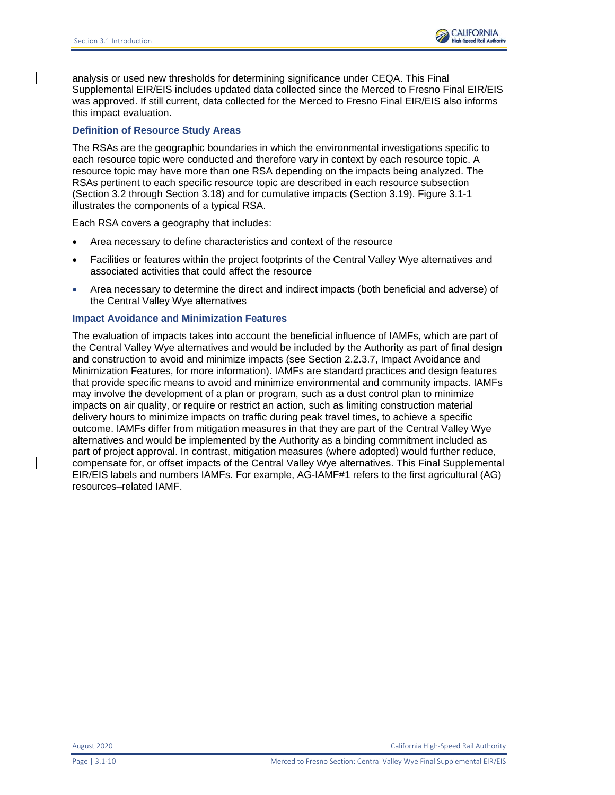

analysis or used new thresholds for determining significance under CEQA. This Final Supplemental EIR/EIS includes updated data collected since the Merced to Fresno Final EIR/EIS was approved. If still current, data collected for the Merced to Fresno Final EIR/EIS also informs this impact evaluation.

#### **Definition of Resource Study Areas**

The RSAs are the geographic boundaries in which the environmental investigations specific to each resource topic were conducted and therefore vary in context by each resource topic. A resource topic may have more than one RSA depending on the impacts being analyzed. The RSAs pertinent to each specific resource topic are described in each resource subsection (Section 3.2 through Section 3.18) and for cumulative impacts (Section 3.19). [Figure 3.1-1](#page-10-0) illustrates the components of a typical RSA.

Each RSA covers a geography that includes:

- Area necessary to define characteristics and context of the resource
- Facilities or features within the project footprints of the Central Valley Wye alternatives and associated activities that could affect the resource
- Area necessary to determine the direct and indirect impacts (both beneficial and adverse) of the Central Valley Wye alternatives

#### **Impact Avoidance and Minimization Features**

The evaluation of impacts takes into account the beneficial influence of IAMFs, which are part of the Central Valley Wye alternatives and would be included by the Authority as part of final design and construction to avoid and minimize impacts (see Section 2.2.3.7, Impact Avoidance and Minimization Features, for more information). IAMFs are standard practices and design features that provide specific means to avoid and minimize environmental and community impacts. IAMFs may involve the development of a plan or program, such as a dust control plan to minimize impacts on air quality, or require or restrict an action, such as limiting construction material delivery hours to minimize impacts on traffic during peak travel times, to achieve a specific outcome. IAMFs differ from mitigation measures in that they are part of the Central Valley Wye alternatives and would be implemented by the Authority as a binding commitment included as part of project approval. In contrast, mitigation measures (where adopted) would further reduce, compensate for, or offset impacts of the Central Valley Wye alternatives. This Final Supplemental EIR/EIS labels and numbers IAMFs. For example, AG-IAMF#1 refers to the first agricultural (AG) resources–related IAMF.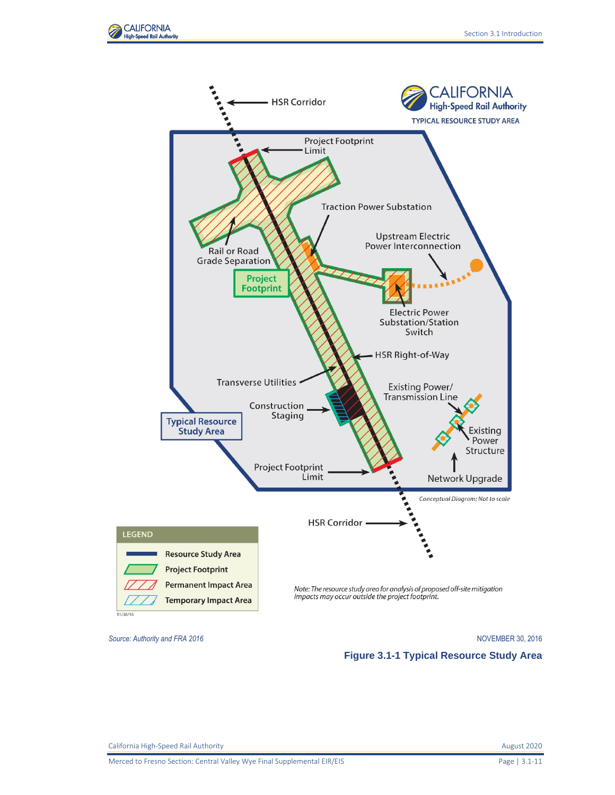



<span id="page-10-0"></span>*Source: Authority and FRA 2016* NOVEMBER 30, 2016

**Figure 3.1-1 Typical Resource Study Area**

Merced to Fresno Section: Central Valley Wye Final Supplemental EIR/EIS Page 13.1-11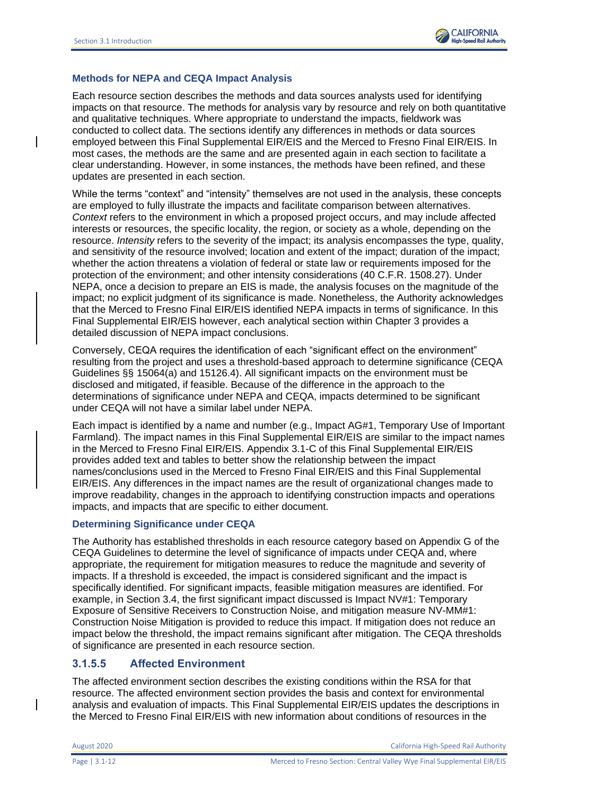# **Methods for NEPA and CEQA Impact Analysis**

Each resource section describes the methods and data sources analysts used for identifying impacts on that resource. The methods for analysis vary by resource and rely on both quantitative and qualitative techniques. Where appropriate to understand the impacts, fieldwork was conducted to collect data. The sections identify any differences in methods or data sources employed between this Final Supplemental EIR/EIS and the Merced to Fresno Final EIR/EIS. In most cases, the methods are the same and are presented again in each section to facilitate a clear understanding. However, in some instances, the methods have been refined, and these updates are presented in each section.

While the terms "context" and "intensity" themselves are not used in the analysis, these concepts are employed to fully illustrate the impacts and facilitate comparison between alternatives. *Context* refers to the environment in which a proposed project occurs, and may include affected interests or resources, the specific locality, the region, or society as a whole, depending on the resource. *Intensity* refers to the severity of the impact; its analysis encompasses the type, quality, and sensitivity of the resource involved; location and extent of the impact; duration of the impact; whether the action threatens a violation of federal or state law or requirements imposed for the protection of the environment; and other intensity considerations (40 C.F.R. 1508.27). Under NEPA, once a decision to prepare an EIS is made, the analysis focuses on the magnitude of the impact; no explicit judgment of its significance is made. Nonetheless, the Authority acknowledges that the Merced to Fresno Final EIR/EIS identified NEPA impacts in terms of significance. In this Final Supplemental EIR/EIS however, each analytical section within Chapter 3 provides a detailed discussion of NEPA impact conclusions.

Conversely, CEQA requires the identification of each "significant effect on the environment" resulting from the project and uses a threshold-based approach to determine significance (CEQA Guidelines §§ 15064(a) and 15126.4). All significant impacts on the environment must be disclosed and mitigated, if feasible. Because of the difference in the approach to the determinations of significance under NEPA and CEQA, impacts determined to be significant under CEQA will not have a similar label under NEPA.

Each impact is identified by a name and number (e.g., Impact AG#1, Temporary Use of Important Farmland). The impact names in this Final Supplemental EIR/EIS are similar to the impact names in the Merced to Fresno Final EIR/EIS. Appendix 3.1-C of this Final Supplemental EIR/EIS provides added text and tables to better show the relationship between the impact names/conclusions used in the Merced to Fresno Final EIR/EIS and this Final Supplemental EIR/EIS. Any differences in the impact names are the result of organizational changes made to improve readability, changes in the approach to identifying construction impacts and operations impacts, and impacts that are specific to either document.

#### **Determining Significance under CEQA**

The Authority has established thresholds in each resource category based on Appendix G of the CEQA Guidelines to determine the level of significance of impacts under CEQA and, where appropriate, the requirement for mitigation measures to reduce the magnitude and severity of impacts. If a threshold is exceeded, the impact is considered significant and the impact is specifically identified. For significant impacts, feasible mitigation measures are identified. For example, in Section 3.4, the first significant impact discussed is Impact NV#1: Temporary Exposure of Sensitive Receivers to Construction Noise, and mitigation measure NV-MM#1: Construction Noise Mitigation is provided to reduce this impact. If mitigation does not reduce an impact below the threshold, the impact remains significant after mitigation. The CEQA thresholds of significance are presented in each resource section.

# **3.1.5.5 Affected Environment**

The affected environment section describes the existing conditions within the RSA for that resource. The affected environment section provides the basis and context for environmental analysis and evaluation of impacts. This Final Supplemental EIR/EIS updates the descriptions in the Merced to Fresno Final EIR/EIS with new information about conditions of resources in the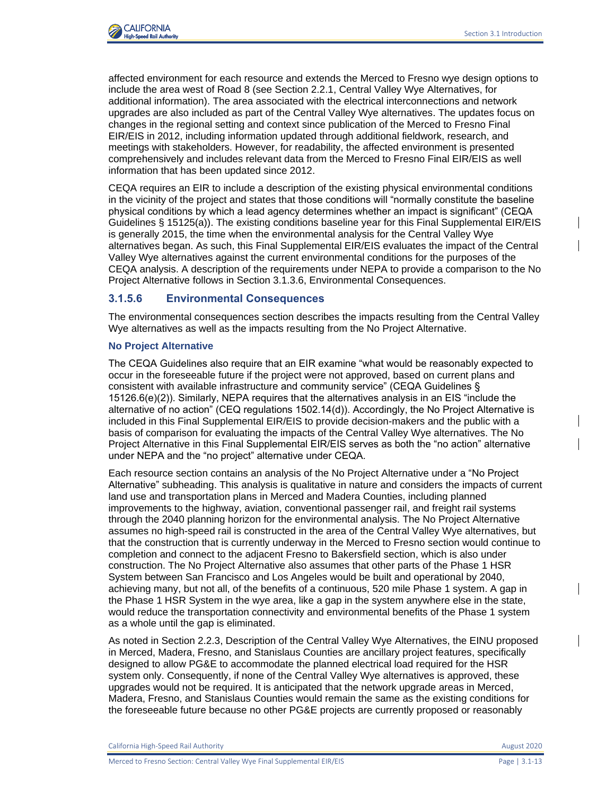

affected environment for each resource and extends the Merced to Fresno wye design options to include the area west of Road 8 (see Section 2.2.1, Central Valley Wye Alternatives, for additional information). The area associated with the electrical interconnections and network upgrades are also included as part of the Central Valley Wye alternatives. The updates focus on changes in the regional setting and context since publication of the Merced to Fresno Final EIR/EIS in 2012, including information updated through additional fieldwork, research, and meetings with stakeholders. However, for readability, the affected environment is presented comprehensively and includes relevant data from the Merced to Fresno Final EIR/EIS as well information that has been updated since 2012.

CEQA requires an EIR to include a description of the existing physical environmental conditions in the vicinity of the project and states that those conditions will "normally constitute the baseline physical conditions by which a lead agency determines whether an impact is significant" (CEQA Guidelines § 15125(a)). The existing conditions baseline year for this Final Supplemental EIR/EIS is generally 2015, the time when the environmental analysis for the Central Valley Wye alternatives began. As such, this Final Supplemental EIR/EIS evaluates the impact of the Central Valley Wye alternatives against the current environmental conditions for the purposes of the CEQA analysis. A description of the requirements under NEPA to provide a comparison to the No Project Alternative follows in Section 3.1.3.6, Environmental Consequences.

# **3.1.5.6 Environmental Consequences**

The environmental consequences section describes the impacts resulting from the Central Valley Wye alternatives as well as the impacts resulting from the No Project Alternative.

# **No Project Alternative**

The CEQA Guidelines also require that an EIR examine "what would be reasonably expected to occur in the foreseeable future if the project were not approved, based on current plans and consistent with available infrastructure and community service" (CEQA Guidelines § 15126.6(e)(2)). Similarly, NEPA requires that the alternatives analysis in an EIS "include the alternative of no action" (CEQ regulations 1502.14(d)). Accordingly, the No Project Alternative is included in this Final Supplemental EIR/EIS to provide decision-makers and the public with a basis of comparison for evaluating the impacts of the Central Valley Wye alternatives. The No Project Alternative in this Final Supplemental EIR/EIS serves as both the "no action" alternative under NEPA and the "no project" alternative under CEQA.

Each resource section contains an analysis of the No Project Alternative under a "No Project Alternative" subheading. This analysis is qualitative in nature and considers the impacts of current land use and transportation plans in Merced and Madera Counties, including planned improvements to the highway, aviation, conventional passenger rail, and freight rail systems through the 2040 planning horizon for the environmental analysis. The No Project Alternative assumes no high-speed rail is constructed in the area of the Central Valley Wye alternatives, but that the construction that is currently underway in the Merced to Fresno section would continue to completion and connect to the adjacent Fresno to Bakersfield section, which is also under construction. The No Project Alternative also assumes that other parts of the Phase 1 HSR System between San Francisco and Los Angeles would be built and operational by 2040, achieving many, but not all, of the benefits of a continuous, 520 mile Phase 1 system. A gap in the Phase 1 HSR System in the wye area, like a gap in the system anywhere else in the state, would reduce the transportation connectivity and environmental benefits of the Phase 1 system as a whole until the gap is eliminated.

As noted in Section 2.2.3, Description of the Central Valley Wye Alternatives, the EINU proposed in Merced, Madera, Fresno, and Stanislaus Counties are ancillary project features, specifically designed to allow PG&E to accommodate the planned electrical load required for the HSR system only. Consequently, if none of the Central Valley Wye alternatives is approved, these upgrades would not be required. It is anticipated that the network upgrade areas in Merced, Madera, Fresno, and Stanislaus Counties would remain the same as the existing conditions for the foreseeable future because no other PG&E projects are currently proposed or reasonably

California High-Speed Rail Authority **August 2020 August 2020**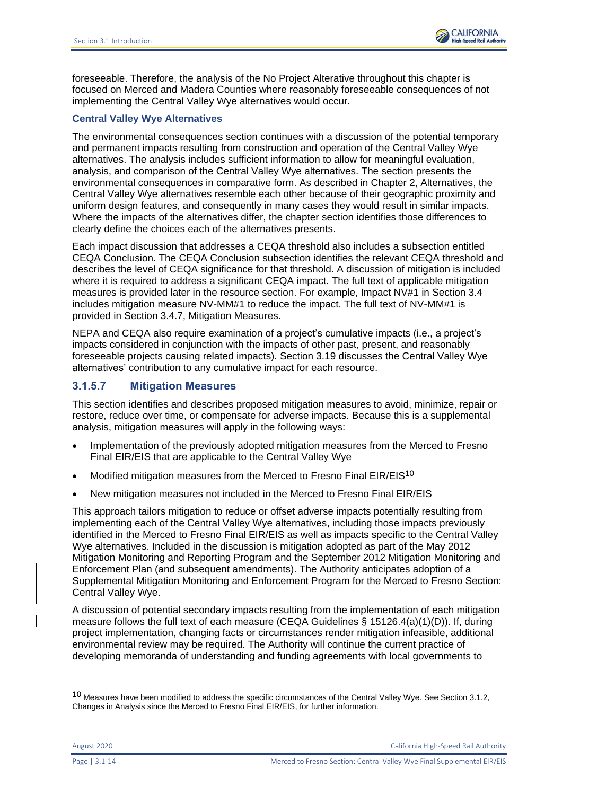

foreseeable. Therefore, the analysis of the No Project Alterative throughout this chapter is focused on Merced and Madera Counties where reasonably foreseeable consequences of not implementing the Central Valley Wye alternatives would occur.

### **Central Valley Wye Alternatives**

The environmental consequences section continues with a discussion of the potential temporary and permanent impacts resulting from construction and operation of the Central Valley Wye alternatives. The analysis includes sufficient information to allow for meaningful evaluation, analysis, and comparison of the Central Valley Wye alternatives. The section presents the environmental consequences in comparative form. As described in Chapter 2, Alternatives, the Central Valley Wye alternatives resemble each other because of their geographic proximity and uniform design features, and consequently in many cases they would result in similar impacts. Where the impacts of the alternatives differ, the chapter section identifies those differences to clearly define the choices each of the alternatives presents.

Each impact discussion that addresses a CEQA threshold also includes a subsection entitled CEQA Conclusion. The CEQA Conclusion subsection identifies the relevant CEQA threshold and describes the level of CEQA significance for that threshold. A discussion of mitigation is included where it is required to address a significant CEQA impact. The full text of applicable mitigation measures is provided later in the resource section. For example, Impact NV#1 in Section 3.4 includes mitigation measure NV-MM#1 to reduce the impact. The full text of NV-MM#1 is provided in Section 3.4.7, Mitigation Measures.

NEPA and CEQA also require examination of a project's cumulative impacts (i.e., a project's impacts considered in conjunction with the impacts of other past, present, and reasonably foreseeable projects causing related impacts). Section 3.19 discusses the Central Valley Wye alternatives' contribution to any cumulative impact for each resource.

# **3.1.5.7 Mitigation Measures**

This section identifies and describes proposed mitigation measures to avoid, minimize, repair or restore, reduce over time, or compensate for adverse impacts. Because this is a supplemental analysis, mitigation measures will apply in the following ways:

- Implementation of the previously adopted mitigation measures from the Merced to Fresno Final EIR/EIS that are applicable to the Central Valley Wye
- Modified mitigation measures from the Merced to Fresno Final EIR/EIS<sup>10</sup>
- New mitigation measures not included in the Merced to Fresno Final EIR/EIS

This approach tailors mitigation to reduce or offset adverse impacts potentially resulting from implementing each of the Central Valley Wye alternatives, including those impacts previously identified in the Merced to Fresno Final EIR/EIS as well as impacts specific to the Central Valley Wye alternatives. Included in the discussion is mitigation adopted as part of the May 2012 Mitigation Monitoring and Reporting Program and the September 2012 Mitigation Monitoring and Enforcement Plan (and subsequent amendments). The Authority anticipates adoption of a Supplemental Mitigation Monitoring and Enforcement Program for the Merced to Fresno Section: Central Valley Wye.

A discussion of potential secondary impacts resulting from the implementation of each mitigation measure follows the full text of each measure (CEQA Guidelines § 15126.4(a)(1)(D)). If, during project implementation, changing facts or circumstances render mitigation infeasible, additional environmental review may be required. The Authority will continue the current practice of developing memoranda of understanding and funding agreements with local governments to

August 2020 California High-Speed Rail Authority

 $10$  Measures have been modified to address the specific circumstances of the Central Valley Wye. See Section 3.1.2, Changes in Analysis since the Merced to Fresno Final EIR/EIS, for further information.